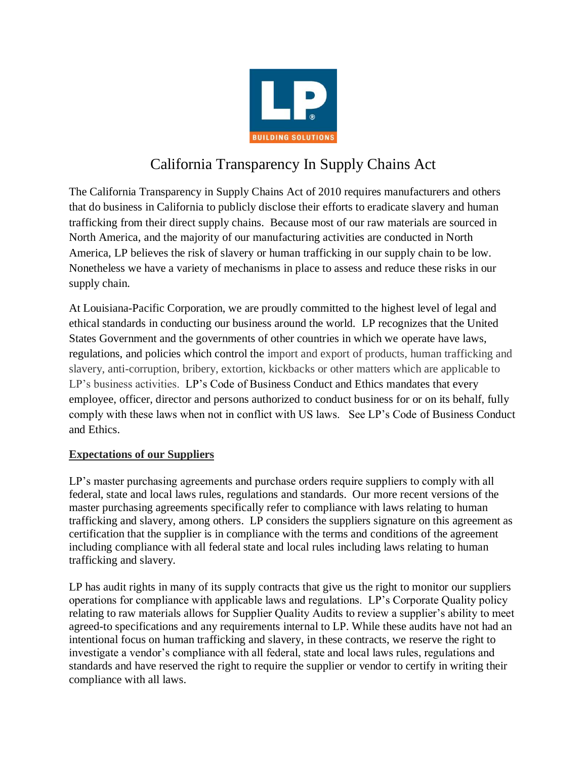

# California Transparency In Supply Chains Act

The California Transparency in Supply Chains Act of 2010 requires manufacturers and others that do business in California to publicly disclose their efforts to eradicate slavery and human trafficking from their direct supply chains. Because most of our raw materials are sourced in North America, and the majority of our manufacturing activities are conducted in North America, LP believes the risk of slavery or human trafficking in our supply chain to be low. Nonetheless we have a variety of mechanisms in place to assess and reduce these risks in our supply chain.

At Louisiana-Pacific Corporation, we are proudly committed to the highest level of legal and ethical standards in conducting our business around the world. LP recognizes that the United States Government and the governments of other countries in which we operate have laws, regulations, and policies which control the import and export of products, human trafficking and slavery, anti-corruption, bribery, extortion, kickbacks or other matters which are applicable to LP's business activities. LP's Code of Business Conduct and Ethics mandates that every employee, officer, director and persons authorized to conduct business for or on its behalf, fully comply with these laws when not in conflict with US laws. See LP's Code of Business Conduct and Ethics.

# **Expectations of our Suppliers**

LP's master purchasing agreements and purchase orders require suppliers to comply with all federal, state and local laws rules, regulations and standards. Our more recent versions of the master purchasing agreements specifically refer to compliance with laws relating to human trafficking and slavery, among others. LP considers the suppliers signature on this agreement as certification that the supplier is in compliance with the terms and conditions of the agreement including compliance with all federal state and local rules including laws relating to human trafficking and slavery.

LP has audit rights in many of its supply contracts that give us the right to monitor our suppliers operations for compliance with applicable laws and regulations. LP's Corporate Quality policy relating to raw materials allows for Supplier Quality Audits to review a supplier's ability to meet agreed-to specifications and any requirements internal to LP. While these audits have not had an intentional focus on human trafficking and slavery, in these contracts, we reserve the right to investigate a vendor's compliance with all federal, state and local laws rules, regulations and standards and have reserved the right to require the supplier or vendor to certify in writing their compliance with all laws.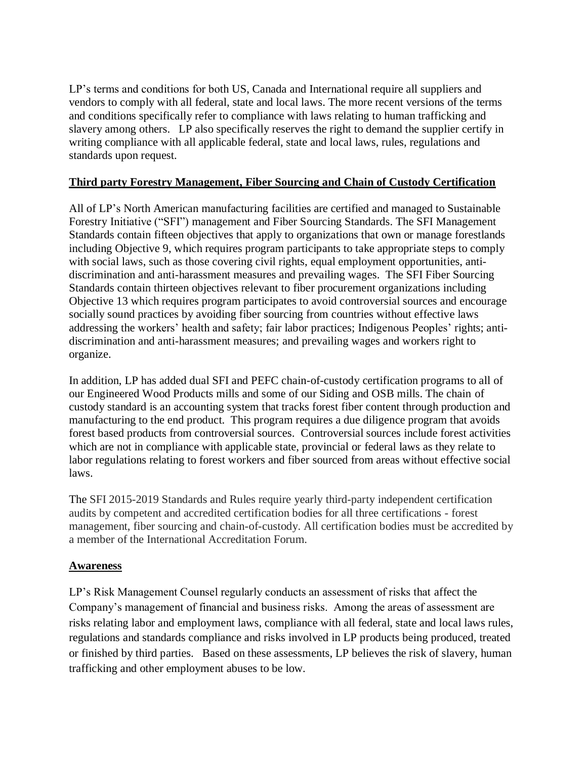LP's terms and conditions for both US, Canada and International require all suppliers and vendors to comply with all federal, state and local laws. The more recent versions of the terms and conditions specifically refer to compliance with laws relating to human trafficking and slavery among others. LP also specifically reserves the right to demand the supplier certify in writing compliance with all applicable federal, state and local laws, rules, regulations and standards upon request.

### **Third party Forestry Management, Fiber Sourcing and Chain of Custody Certification**

All of LP's North American manufacturing facilities are certified and managed to Sustainable Forestry Initiative ("SFI") management and Fiber Sourcing Standards. The SFI Management Standards contain fifteen objectives that apply to organizations that own or manage forestlands including Objective 9, which requires program participants to take appropriate steps to comply with social laws, such as those covering civil rights, equal employment opportunities, antidiscrimination and anti-harassment measures and prevailing wages. The SFI Fiber Sourcing Standards contain thirteen objectives relevant to fiber procurement organizations including Objective 13 which requires program participates to avoid controversial sources and encourage socially sound practices by avoiding fiber sourcing from countries without effective laws addressing the workers' health and safety; fair labor practices; Indigenous Peoples' rights; antidiscrimination and anti-harassment measures; and prevailing wages and workers right to organize.

In addition, LP has added dual SFI and PEFC chain-of-custody certification programs to all of our Engineered Wood Products mills and some of our Siding and OSB mills. The chain of custody standard is an accounting system that tracks forest fiber content through production and manufacturing to the end product. This program requires a due diligence program that avoids forest based products from controversial sources. Controversial sources include forest activities which are not in compliance with applicable state, provincial or federal laws as they relate to labor regulations relating to forest workers and fiber sourced from areas without effective social laws.

The SFI 2015-2019 Standards and Rules require yearly third-party independent certification audits by competent and accredited certification bodies for all three certifications - forest management, fiber sourcing and chain-of-custody. All certification bodies must be accredited by a member of the International Accreditation Forum.

### **Awareness**

LP's Risk Management Counsel regularly conducts an assessment of risks that affect the Company's management of financial and business risks. Among the areas of assessment are risks relating labor and employment laws, compliance with all federal, state and local laws rules, regulations and standards compliance and risks involved in LP products being produced, treated or finished by third parties. Based on these assessments, LP believes the risk of slavery, human trafficking and other employment abuses to be low.